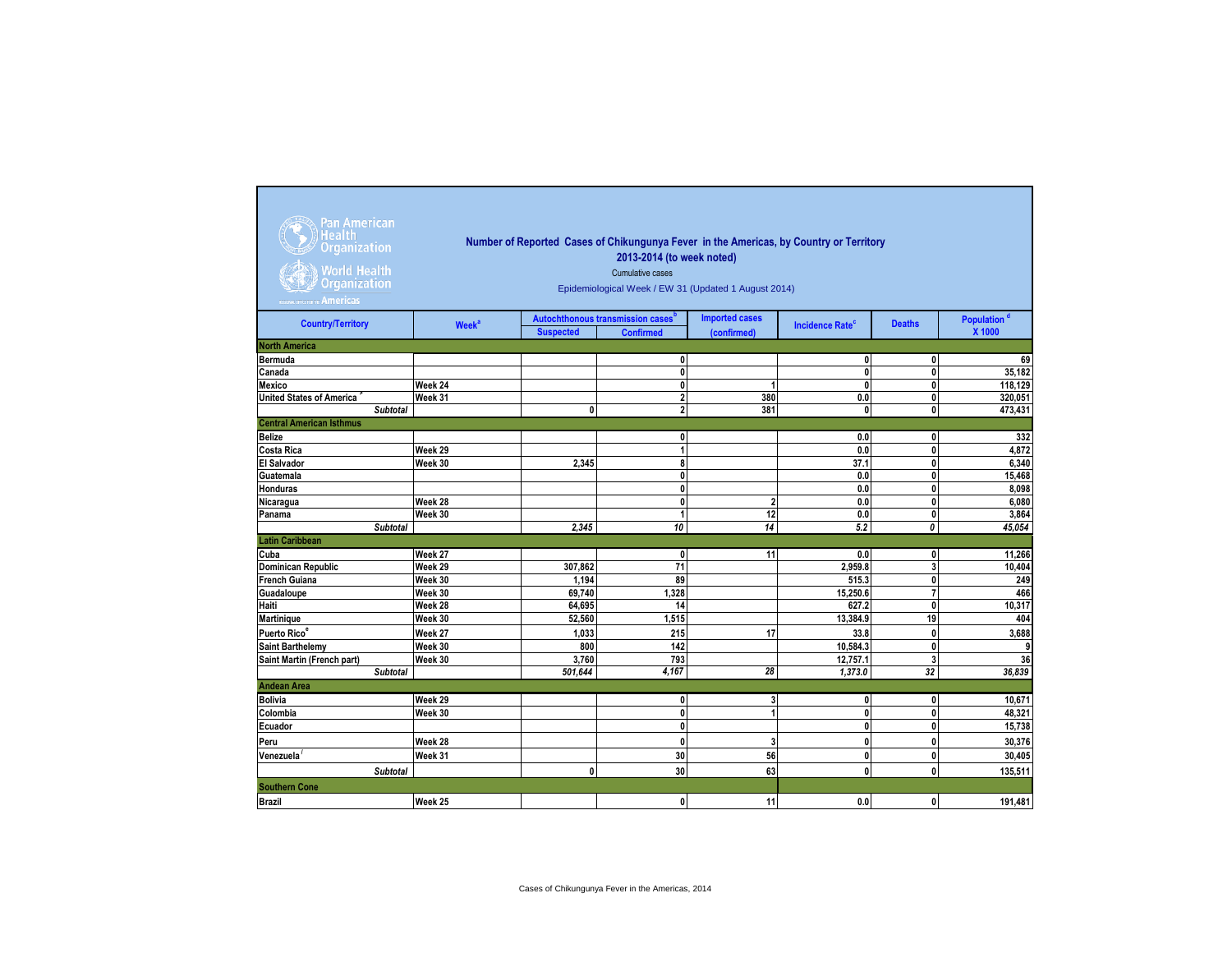| Pan American<br><b>Health</b><br><b>Organization</b><br><b>World Health</b><br><b>Organization</b><br><b>Americas</b> | Number of Reported Cases of Chikungunya Fever in the Americas, by Country or Territory<br>2013-2014 (to week noted)<br>Cumulative cases<br>Epidemiological Week / EW 31 (Updated 1 August 2014) |                  |                                                                   |                                      |                                   |                                |                                   |  |  |  |  |
|-----------------------------------------------------------------------------------------------------------------------|-------------------------------------------------------------------------------------------------------------------------------------------------------------------------------------------------|------------------|-------------------------------------------------------------------|--------------------------------------|-----------------------------------|--------------------------------|-----------------------------------|--|--|--|--|
| <b>Country/Territory</b>                                                                                              | <b>Week<sup>a</sup></b>                                                                                                                                                                         | <b>Suspected</b> | Autochthonous transmission cases <sup>b</sup><br><b>Confirmed</b> | <b>Imported cases</b><br>(confirmed) | <b>Incidence Rate<sup>c</sup></b> | <b>Deaths</b>                  | Population <sup>d</sup><br>X 1000 |  |  |  |  |
| <b>North America</b>                                                                                                  |                                                                                                                                                                                                 |                  |                                                                   |                                      |                                   |                                |                                   |  |  |  |  |
| <b>Bermuda</b>                                                                                                        |                                                                                                                                                                                                 |                  | 0                                                                 |                                      | 0                                 | $\mathbf{0}$                   | 69                                |  |  |  |  |
| Canada                                                                                                                |                                                                                                                                                                                                 |                  | 0                                                                 |                                      | $\mathbf{0}$                      | $\mathbf{0}$                   | 35,182                            |  |  |  |  |
| Mexico                                                                                                                | Week 24                                                                                                                                                                                         |                  | $\mathbf{0}$                                                      | 1                                    | $\mathbf{0}$                      | $\mathbf{0}$                   | 118,129                           |  |  |  |  |
| <b>United States of America</b>                                                                                       | Week 31                                                                                                                                                                                         |                  | $\mathbf{2}$                                                      | 380                                  | 0.0                               | 0                              | 320,051                           |  |  |  |  |
| <b>Subtotal</b>                                                                                                       |                                                                                                                                                                                                 | $\mathbf{0}$     | $\overline{2}$                                                    | 381                                  | 0                                 | $\mathbf{0}$                   | 473,431                           |  |  |  |  |
| <b>Central American Isthmus</b>                                                                                       |                                                                                                                                                                                                 |                  |                                                                   |                                      |                                   |                                |                                   |  |  |  |  |
| <b>Belize</b>                                                                                                         |                                                                                                                                                                                                 |                  | 0                                                                 |                                      | 0.0                               | $\mathbf{0}$                   | 332                               |  |  |  |  |
| Costa Rica                                                                                                            | Week 29                                                                                                                                                                                         |                  | 1                                                                 |                                      | 0.0                               | $\mathbf{0}$                   | 4,872                             |  |  |  |  |
| <b>El Salvador</b>                                                                                                    | Week 30                                                                                                                                                                                         | 2.345            | 8                                                                 |                                      | 37.1                              | $\mathbf{0}$                   | 6,340                             |  |  |  |  |
| Guatemala                                                                                                             |                                                                                                                                                                                                 |                  | $\mathbf{0}$                                                      |                                      | 0.0                               | $\mathbf{0}$                   | 15,468                            |  |  |  |  |
| <b>Honduras</b>                                                                                                       |                                                                                                                                                                                                 |                  | $\mathbf{0}$                                                      |                                      | 0.0                               | $\mathbf{0}$                   | 8,098                             |  |  |  |  |
| Nicaragua                                                                                                             | Week 28                                                                                                                                                                                         |                  | $\mathbf{0}$                                                      | $\overline{2}$                       | 0.0                               | $\mathbf{0}$                   | 6,080                             |  |  |  |  |
| Panama                                                                                                                | Week 30                                                                                                                                                                                         |                  | 1                                                                 | 12                                   | 0.0                               | $\mathbf{0}$                   | 3,864                             |  |  |  |  |
| <b>Subtotal</b>                                                                                                       |                                                                                                                                                                                                 | 2.345            | 10                                                                | 14                                   | 5.2                               | 0                              | 45.054                            |  |  |  |  |
| <b>Latin Caribbean</b>                                                                                                |                                                                                                                                                                                                 |                  |                                                                   |                                      |                                   |                                |                                   |  |  |  |  |
| Cuba                                                                                                                  | Week 27                                                                                                                                                                                         |                  | $\mathbf{0}$                                                      | 11                                   | 0.0                               | 0                              | 11,266                            |  |  |  |  |
| <b>Dominican Republic</b>                                                                                             | Week 29                                                                                                                                                                                         | 307,862          | 71                                                                |                                      | 2,959.8                           | 3                              | 10,404                            |  |  |  |  |
| French Guiana                                                                                                         | Week 30                                                                                                                                                                                         | 1,194            | 89                                                                |                                      | 515.3                             | $\mathbf{0}$<br>$\overline{7}$ | 249                               |  |  |  |  |
| Guadaloupe<br>Haiti                                                                                                   | Week 30                                                                                                                                                                                         | 69,740<br>64,695 | 1,328<br>14                                                       |                                      | 15,250.6<br>627.2                 | $\mathbf{0}$                   | 466<br>10,317                     |  |  |  |  |
| Martinique                                                                                                            | Week 28<br>Week 30                                                                                                                                                                              | 52,560           | 1,515                                                             |                                      | 13,384.9                          | 19                             | 404                               |  |  |  |  |
| Puerto Rico <sup>e</sup>                                                                                              |                                                                                                                                                                                                 |                  |                                                                   |                                      |                                   |                                |                                   |  |  |  |  |
|                                                                                                                       | Week 27                                                                                                                                                                                         | 1,033            | 215                                                               | 17                                   | 33.8                              | $\mathbf{0}$                   | 3,688                             |  |  |  |  |
| <b>Saint Barthelemy</b>                                                                                               | Week 30<br>Week 30                                                                                                                                                                              | 800<br>3,760     | 142<br>793                                                        |                                      | 10,584.3<br>12,757.1              | $\mathbf{0}$<br>3              | 9<br>36                           |  |  |  |  |
| Saint Martin (French part)<br><b>Subtotal</b>                                                                         |                                                                                                                                                                                                 | 501,644          | 4,167                                                             | 28                                   | 1,373.0                           | 32                             | 36,839                            |  |  |  |  |
| <b>Andean Area</b>                                                                                                    |                                                                                                                                                                                                 |                  |                                                                   |                                      |                                   |                                |                                   |  |  |  |  |
| <b>Bolivia</b>                                                                                                        | Week 29                                                                                                                                                                                         |                  | 0                                                                 | 3                                    | $\mathbf{0}$                      | $\mathbf{0}$                   | 10.671                            |  |  |  |  |
| Colombia                                                                                                              | Week 30                                                                                                                                                                                         |                  | 0                                                                 | $\overline{1}$                       | $\mathbf{0}$                      | $\mathbf{0}$                   | 48,321                            |  |  |  |  |
| Ecuador                                                                                                               |                                                                                                                                                                                                 |                  | 0                                                                 |                                      | $\mathbf{0}$                      | $\mathbf{0}$                   | 15,738                            |  |  |  |  |
| Peru                                                                                                                  | Week 28                                                                                                                                                                                         |                  | 0                                                                 | 3                                    | $\mathbf{0}$                      | $\mathbf{0}$                   | 30,376                            |  |  |  |  |
| Venezuela                                                                                                             | Week 31                                                                                                                                                                                         |                  | 30                                                                | 56                                   | $\mathbf{0}$                      | $\mathbf{0}$                   | 30,405                            |  |  |  |  |
|                                                                                                                       |                                                                                                                                                                                                 |                  |                                                                   |                                      |                                   |                                |                                   |  |  |  |  |
| <b>Subtotal</b>                                                                                                       |                                                                                                                                                                                                 | $\mathbf{0}$     | 30                                                                | 63                                   | 0                                 | 0                              | 135,511                           |  |  |  |  |
| <b>Southern Cone</b>                                                                                                  |                                                                                                                                                                                                 |                  |                                                                   |                                      |                                   |                                |                                   |  |  |  |  |
| Brazil                                                                                                                | Week 25                                                                                                                                                                                         |                  | $\mathbf{0}$                                                      | 11                                   | 0.0                               | $\pmb{0}$                      | 191,481                           |  |  |  |  |